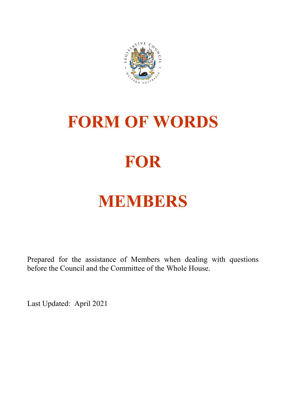

# **FORM OF WORDS**

## **FOR**

## **MEMBERS**

Prepared for the assistance of Members when dealing with questions before the Council and the Committee of the Whole House.

Last Updated: April 2021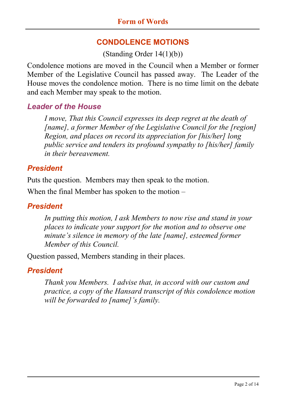#### **CONDOLENCE MOTIONS**

(Standing Order 14(1)(b))

Condolence motions are moved in the Council when a Member or former Member of the Legislative Council has passed away. The Leader of the House moves the condolence motion. There is no time limit on the debate and each Member may speak to the motion.

#### *Leader of the House*

*I move, That this Council expresses its deep regret at the death of [name], a former Member of the Legislative Council for the [region] Region, and places on record its appreciation for [his/her] long public service and tenders its profound sympathy to [his/her] family in their bereavement.*

#### *President*

Puts the question. Members may then speak to the motion.

When the final Member has spoken to the motion –

#### *President*

*In putting this motion, I ask Members to now rise and stand in your places to indicate your support for the motion and to observe one minute's silence in memory of the late [name], esteemed former Member of this Council.*

Question passed, Members standing in their places.

#### *President*

*Thank you Members. I advise that, in accord with our custom and practice, a copy of the Hansard transcript of this condolence motion will be forwarded to [name]'s family.*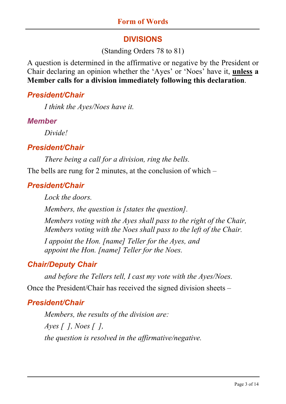#### **DIVISIONS**

#### (Standing Orders 78 to 81)

A question is determined in the affirmative or negative by the President or Chair declaring an opinion whether the 'Ayes' or 'Noes' have it, **unless a Member calls for a division immediately following this declaration**.

#### *President/Chair*

*I think the Ayes/Noes have it.*

#### *Member*

*Divide!*

#### *President/Chair*

*There being a call for a division, ring the bells.*

The bells are rung for 2 minutes, at the conclusion of which –

## *President/Chair*

*Lock the doors.*

*Members, the question is [states the question].*

*Members voting with the Ayes shall pass to the right of the Chair, Members voting with the Noes shall pass to the left of the Chair.*

*I appoint the Hon. [name] Teller for the Ayes, and appoint the Hon. [name] Teller for the Noes.*

## *Chair/Deputy Chair*

*and before the Tellers tell, I cast my vote with the Ayes/Noes.* Once the President/Chair has received the signed division sheets –

## *President/Chair*

*Members, the results of the division are: Ayes [ ], Noes [ ], the question is resolved in the affirmative/negative.*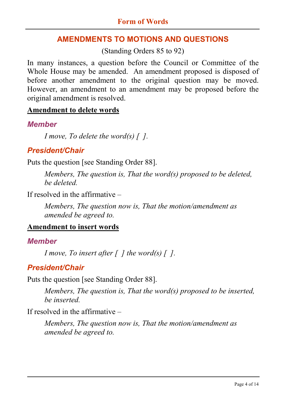## **AMENDMENTS TO MOTIONS AND QUESTIONS**

(Standing Orders 85 to 92)

In many instances, a question before the Council or Committee of the Whole House may be amended. An amendment proposed is disposed of before another amendment to the original question may be moved. However, an amendment to an amendment may be proposed before the original amendment is resolved.

#### **Amendment to delete words**

#### *Member*

*I move, To delete the word(s) [ ].*

## *President/Chair*

Puts the question [see Standing Order 88].

*Members, The question is, That the word(s) proposed to be deleted, be deleted.*

If resolved in the affirmative –

*Members, The question now is, That the motion/amendment as amended be agreed to.*

## **Amendment to insert words**

## *Member*

*I move, To insert after [ ] the word(s) [ ].*

## *President/Chair*

Puts the question [see Standing Order 88].

*Members, The question is, That the word(s) proposed to be inserted, be inserted.*

If resolved in the affirmative –

*Members, The question now is, That the motion/amendment as amended be agreed to.*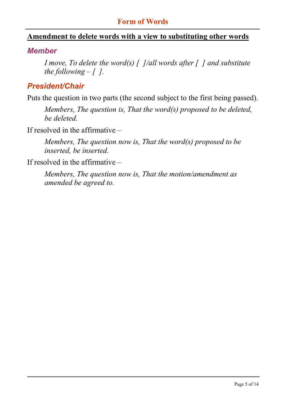#### **Form of Words**

#### **Amendment to delete words with a view to substituting other words**

#### *Member*

*I move, To delete the word(s) [ ]/all words after [ ] and substitute the following*  $-$  *[ ].* 

#### *President/Chair*

Puts the question in two parts (the second subject to the first being passed).

*Members, The question is, That the word(s) proposed to be deleted, be deleted.*

If resolved in the affirmative –

*Members, The question now is, That the word(s) proposed to be inserted, be inserted.*

If resolved in the affirmative –

*Members, The question now is, That the motion/amendment as amended be agreed to.*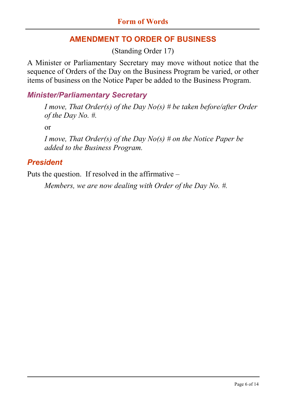## **AMENDMENT TO ORDER OF BUSINESS**

(Standing Order 17)

A Minister or Parliamentary Secretary may move without notice that the sequence of Orders of the Day on the Business Program be varied, or other items of business on the Notice Paper be added to the Business Program.

## *Minister/Parliamentary Secretary*

*I move, That Order(s) of the Day No(s) # be taken before/after Order of the Day No. #.*

or

*I move, That Order(s) of the Day No(s) # on the Notice Paper be added to the Business Program.*

#### *President*

Puts the question. If resolved in the affirmative –

*Members, we are now dealing with Order of the Day No. #.*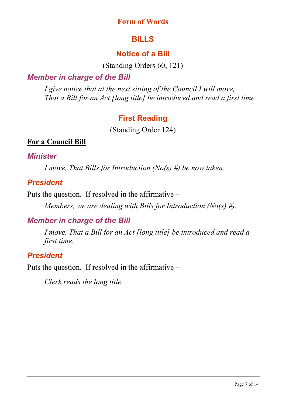## **BILLS**

## **Notice of a Bill**

(Standing Orders 60, 121)

#### *Member in charge of the Bill*

*I give notice that at the next sitting of the Council I will move, That a Bill for an Act [long title] be introduced and read a first time.*

## **First Reading**

(Standing Order 124)

#### **For a Council Bill**

#### *Minister*

*I move, That Bills for Introduction (No(s) #) be now taken.*

#### *President*

Puts the question. If resolved in the affirmative –

*Members, we are dealing with Bills for Introduction (No(s) #).*

## *Member in charge of the Bill*

*I move, That a Bill for an Act [long title] be introduced and read a first time.*

## *President*

Puts the question. If resolved in the affirmative –

*Clerk reads the long title.*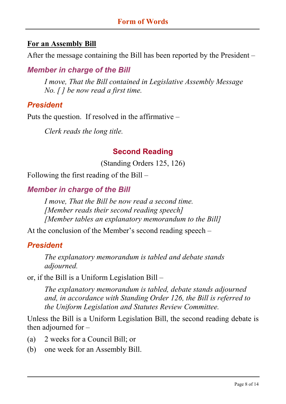#### **For an Assembly Bill**

After the message containing the Bill has been reported by the President –

## *Member in charge of the Bill*

*I move, That the Bill contained in Legislative Assembly Message No. [ ] be now read a first time.*

#### *President*

Puts the question. If resolved in the affirmative –

*Clerk reads the long title.*

#### **Second Reading**

(Standing Orders 125, 126)

Following the first reading of the Bill –

#### *Member in charge of the Bill*

*I move, That the Bill be now read a second time. [Member reads their second reading speech] [Member tables an explanatory memorandum to the Bill]*

At the conclusion of the Member's second reading speech –

#### *President*

*The explanatory memorandum is tabled and debate stands adjourned.*

or, if the Bill is a Uniform Legislation Bill –

*The explanatory memorandum is tabled, debate stands adjourned and, in accordance with Standing Order 126, the Bill is referred to the Uniform Legislation and Statutes Review Committee.*

Unless the Bill is a Uniform Legislation Bill, the second reading debate is then adjourned for –

- (a) 2 weeks for a Council Bill; or
- (b) one week for an Assembly Bill.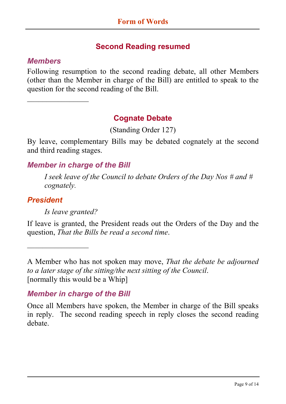## **Second Reading resumed**

#### *Members*

 $\overline{\phantom{a}}$ 

Following resumption to the second reading debate, all other Members (other than the Member in charge of the Bill) are entitled to speak to the question for the second reading of the Bill.

#### **Cognate Debate**

(Standing Order 127)

By leave, complementary Bills may be debated cognately at the second and third reading stages.

#### *Member in charge of the Bill*

*I seek leave of the Council to debate Orders of the Day Nos # and # cognately.*

#### *President*

*Is leave granted?*

 $\overline{\phantom{a}}$ 

If leave is granted, the President reads out the Orders of the Day and the question, *That the Bills be read a second time*.

A Member who has not spoken may move, *That the debate be adjourned to a later stage of the sitting/the next sitting of the Council*. [normally this would be a Whip]

#### *Member in charge of the Bill*

Once all Members have spoken, the Member in charge of the Bill speaks in reply. The second reading speech in reply closes the second reading debate.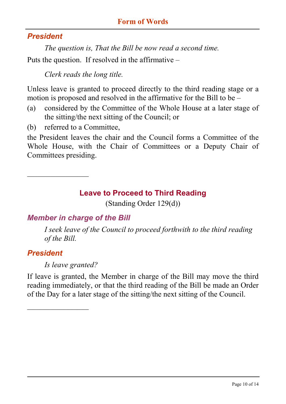#### **Form of Words**

#### *President*

*The question is, That the Bill be now read a second time.* Puts the question. If resolved in the affirmative –

*Clerk reads the long title.*

Unless leave is granted to proceed directly to the third reading stage or a motion is proposed and resolved in the affirmative for the Bill to be –

- (a) considered by the Committee of the Whole House at a later stage of the sitting/the next sitting of the Council; or
- (b) referred to a Committee,

 $\overline{\phantom{a}}$  . The set of the set of the set of the set of the set of the set of the set of the set of the set of the set of the set of the set of the set of the set of the set of the set of the set of the set of the set o

the President leaves the chair and the Council forms a Committee of the Whole House, with the Chair of Committees or a Deputy Chair of Committees presiding.

**Leave to Proceed to Third Reading**

(Standing Order 129(d))

#### *Member in charge of the Bill*

*I seek leave of the Council to proceed forthwith to the third reading of the Bill.*

#### *President*

*Is leave granted?*

 $\overline{\phantom{a}}$  . The set of the set of the set of the set of the set of the set of the set of the set of the set of the set of the set of the set of the set of the set of the set of the set of the set of the set of the set o

If leave is granted, the Member in charge of the Bill may move the third reading immediately, or that the third reading of the Bill be made an Order of the Day for a later stage of the sitting/the next sitting of the Council.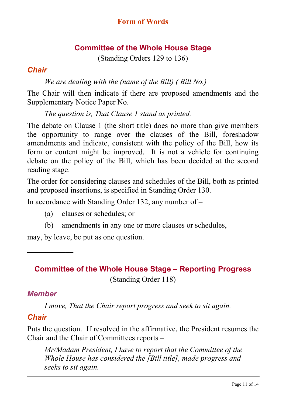#### **Committee of the Whole House Stage**

(Standing Orders 129 to 136)

#### *Chair*

*We are dealing with the (name of the Bill) ( Bill No.)*

The Chair will then indicate if there are proposed amendments and the Supplementary Notice Paper No.

*The question is, That Clause 1 stand as printed.*

The debate on Clause 1 (the short title) does no more than give members the opportunity to range over the clauses of the Bill, foreshadow amendments and indicate, consistent with the policy of the Bill, how its form or content might be improved. It is not a vehicle for continuing debate on the policy of the Bill, which has been decided at the second reading stage.

The order for considering clauses and schedules of the Bill, both as printed and proposed insertions, is specified in Standing Order 130.

In accordance with Standing Order 132, any number of –

- (a) clauses or schedules; or
- (b) amendments in any one or more clauses or schedules,

may, by leave, be put as one question.

## **Committee of the Whole House Stage – Reporting Progress** (Standing Order 118)

#### *Member*

 $\mathcal{L}_\text{max}$ 

*I move, That the Chair report progress and seek to sit again.*

#### *Chair*

Puts the question. If resolved in the affirmative, the President resumes the Chair and the Chair of Committees reports –

*Mr/Madam President, I have to report that the Committee of the Whole House has considered the [Bill title], made progress and seeks to sit again.*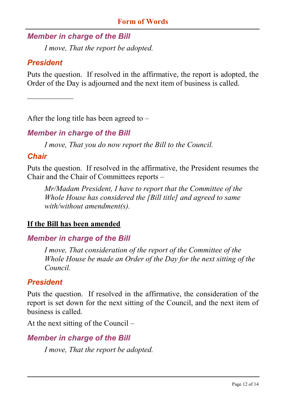## *Member in charge of the Bill*

*I move, That the report be adopted.*

## *President*

 $\mathcal{L}$  , we have the set of the set of the set of the set of the set of the set of the set of the set of the set of the set of the set of the set of the set of the set of the set of the set of the set of the set of the

Puts the question. If resolved in the affirmative, the report is adopted, the Order of the Day is adjourned and the next item of business is called.

After the long title has been agreed to –

## *Member in charge of the Bill*

*I move, That you do now report the Bill to the Council.*

#### *Chair*

Puts the question. If resolved in the affirmative, the President resumes the Chair and the Chair of Committees reports –

*Mr/Madam President, I have to report that the Committee of the Whole House has considered the [Bill title] and agreed to same with/without amendment(s).*

#### **If the Bill has been amended**

## *Member in charge of the Bill*

*I move, That consideration of the report of the Committee of the Whole House be made an Order of the Day for the next sitting of the Council.*

#### *President*

Puts the question. If resolved in the affirmative, the consideration of the report is set down for the next sitting of the Council, and the next item of business is called.

At the next sitting of the Council –

## *Member in charge of the Bill*

*I move, That the report be adopted.*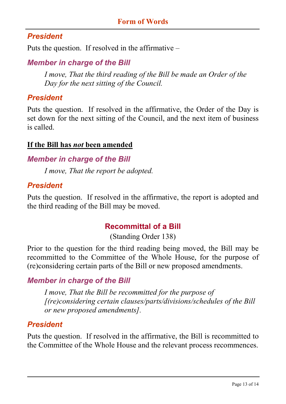#### **Form of Words**

#### *President*

Puts the question. If resolved in the affirmative –

#### *Member in charge of the Bill*

*I move, That the third reading of the Bill be made an Order of the Day for the next sitting of the Council.*

#### *President*

Puts the question. If resolved in the affirmative, the Order of the Day is set down for the next sitting of the Council, and the next item of business is called.

#### **If the Bill has** *not* **been amended**

#### *Member in charge of the Bill*

*I move, That the report be adopted.*

#### *President*

Puts the question. If resolved in the affirmative, the report is adopted and the third reading of the Bill may be moved.

#### **Recommittal of a Bill**

(Standing Order 138)

Prior to the question for the third reading being moved, the Bill may be recommitted to the Committee of the Whole House, for the purpose of (re)considering certain parts of the Bill or new proposed amendments.

#### *Member in charge of the Bill*

*I move, That the Bill be recommitted for the purpose of [(re)considering certain clauses/parts/divisions/schedules of the Bill or new proposed amendments].*

#### *President*

Puts the question. If resolved in the affirmative, the Bill is recommitted to the Committee of the Whole House and the relevant process recommences.